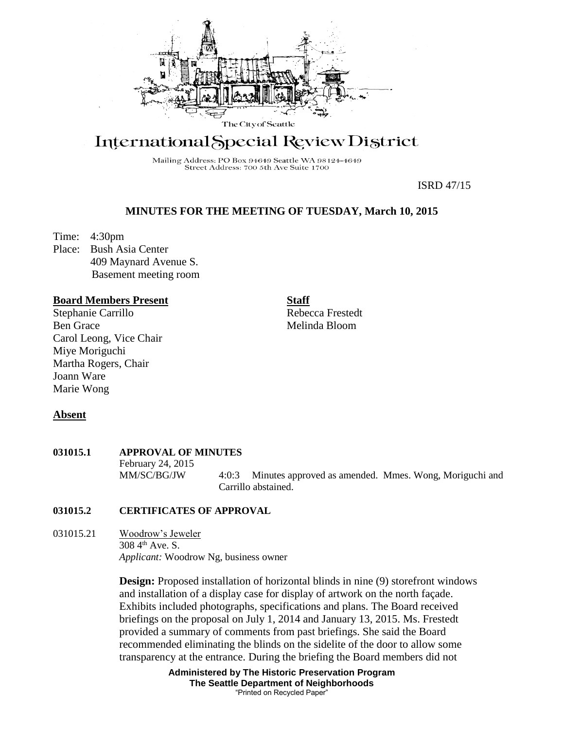

# International Special Review District

Mailing Address: PO Box 94649 Seattle WA 98124-4649 Street Address: 700 5th Ave Suite 1700

ISRD 47/15

## **MINUTES FOR THE MEETING OF TUESDAY, March 10, 2015**

Time: 4:30pm Place: Bush Asia Center 409 Maynard Avenue S. Basement meeting room

#### **Board Members Present**

Stephanie Carrillo Ben Grace Carol Leong, Vice Chair Miye Moriguchi Martha Rogers, Chair Joann Ware Marie Wong

**Staff**

Rebecca Frestedt Melinda Bloom

## **Absent**

# **031015.1 APPROVAL OF MINUTES**

February 24, 2015 MM/SC/BG/JW 4:0:3 Minutes approved as amended. Mmes. Wong, Moriguchi and Carrillo abstained.

#### **031015.2 CERTIFICATES OF APPROVAL**

031015.21 Woodrow's Jeweler  $308\,4^{th}$  Ave. S. *Applicant:* Woodrow Ng, business owner

> **Design:** Proposed installation of horizontal blinds in nine (9) storefront windows and installation of a display case for display of artwork on the north façade. Exhibits included photographs, specifications and plans. The Board received briefings on the proposal on July 1, 2014 and January 13, 2015. Ms. Frestedt provided a summary of comments from past briefings. She said the Board recommended eliminating the blinds on the sidelite of the door to allow some transparency at the entrance. During the briefing the Board members did not

> > **Administered by The Historic Preservation Program The Seattle Department of Neighborhoods** "Printed on Recycled Paper"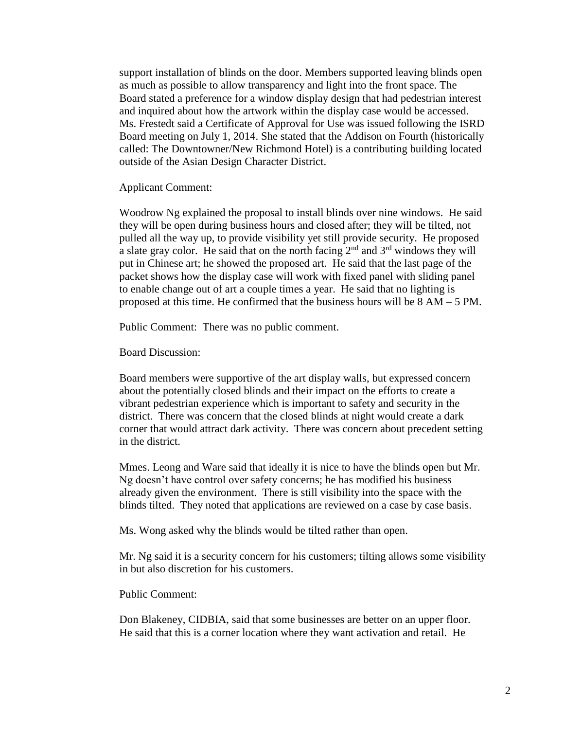support installation of blinds on the door. Members supported leaving blinds open as much as possible to allow transparency and light into the front space. The Board stated a preference for a window display design that had pedestrian interest and inquired about how the artwork within the display case would be accessed. Ms. Frestedt said a Certificate of Approval for Use was issued following the ISRD Board meeting on July 1, 2014. She stated that the Addison on Fourth (historically called: The Downtowner/New Richmond Hotel) is a contributing building located outside of the Asian Design Character District.

Applicant Comment:

Woodrow Ng explained the proposal to install blinds over nine windows. He said they will be open during business hours and closed after; they will be tilted, not pulled all the way up, to provide visibility yet still provide security. He proposed a slate gray color. He said that on the north facing  $2<sup>nd</sup>$  and  $3<sup>rd</sup>$  windows they will put in Chinese art; he showed the proposed art. He said that the last page of the packet shows how the display case will work with fixed panel with sliding panel to enable change out of art a couple times a year. He said that no lighting is proposed at this time. He confirmed that the business hours will be 8 AM – 5 PM.

Public Comment: There was no public comment.

Board Discussion:

Board members were supportive of the art display walls, but expressed concern about the potentially closed blinds and their impact on the efforts to create a vibrant pedestrian experience which is important to safety and security in the district. There was concern that the closed blinds at night would create a dark corner that would attract dark activity. There was concern about precedent setting in the district.

Mmes. Leong and Ware said that ideally it is nice to have the blinds open but Mr. Ng doesn't have control over safety concerns; he has modified his business already given the environment. There is still visibility into the space with the blinds tilted. They noted that applications are reviewed on a case by case basis.

Ms. Wong asked why the blinds would be tilted rather than open.

Mr. Ng said it is a security concern for his customers; tilting allows some visibility in but also discretion for his customers.

Public Comment:

Don Blakeney, CIDBIA, said that some businesses are better on an upper floor. He said that this is a corner location where they want activation and retail. He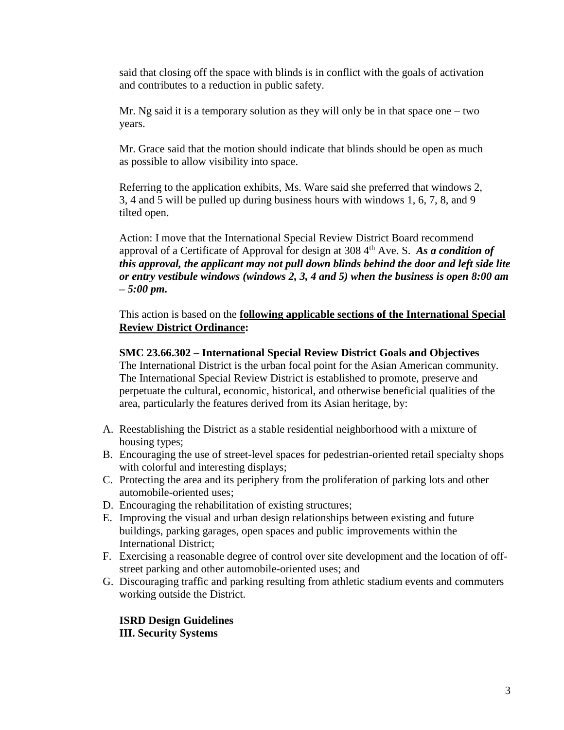said that closing off the space with blinds is in conflict with the goals of activation and contributes to a reduction in public safety.

Mr. Ng said it is a temporary solution as they will only be in that space one  $-$  two years.

Mr. Grace said that the motion should indicate that blinds should be open as much as possible to allow visibility into space.

Referring to the application exhibits, Ms. Ware said she preferred that windows 2, 3, 4 and 5 will be pulled up during business hours with windows 1, 6, 7, 8, and 9 tilted open.

Action: I move that the International Special Review District Board recommend approval of a Certificate of Approval for design at 308 4th Ave. S. *As a condition of this approval, the applicant may not pull down blinds behind the door and left side lite or entry vestibule windows (windows 2, 3, 4 and 5) when the business is open 8:00 am – 5:00 pm.* 

This action is based on the **following applicable sections of the International Special Review District Ordinance:** 

#### **SMC 23.66.302 – International Special Review District Goals and Objectives**

The International District is the urban focal point for the Asian American community. The International Special Review District is established to promote, preserve and perpetuate the cultural, economic, historical, and otherwise beneficial qualities of the area, particularly the features derived from its Asian heritage, by:

- A. Reestablishing the District as a stable residential neighborhood with a mixture of housing types;
- B. Encouraging the use of street-level spaces for pedestrian-oriented retail specialty shops with colorful and interesting displays;
- C. Protecting the area and its periphery from the proliferation of parking lots and other automobile-oriented uses;
- D. Encouraging the rehabilitation of existing structures;
- E. Improving the visual and urban design relationships between existing and future buildings, parking garages, open spaces and public improvements within the International District;
- F. Exercising a reasonable degree of control over site development and the location of offstreet parking and other automobile-oriented uses; and
- G. Discouraging traffic and parking resulting from athletic stadium events and commuters working outside the District.

**ISRD Design Guidelines III. Security Systems**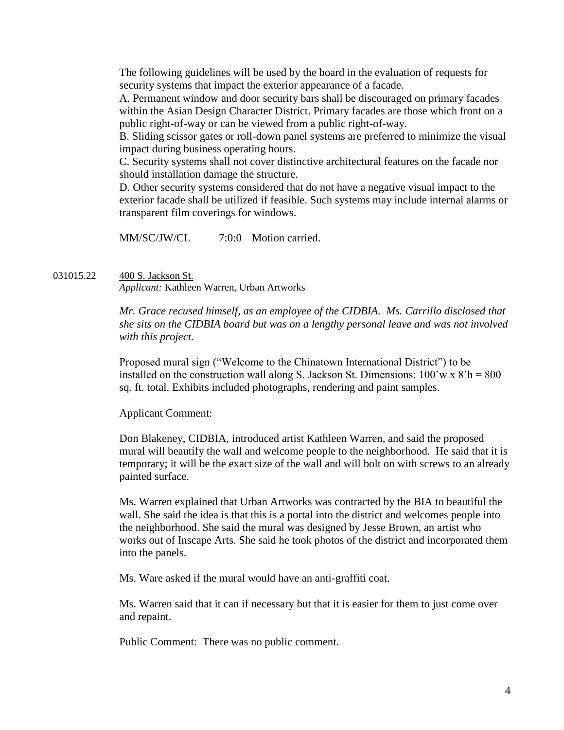The following guidelines will be used by the board in the evaluation of requests for security systems that impact the exterior appearance of a facade.

A. Permanent window and door security bars shall be discouraged on primary facades within the Asian Design Character District. Primary facades are those which front on a public right-of-way or can be viewed from a public right-of-way.

B. Sliding scissor gates or roll-down panel systems are preferred to minimize the visual impact during business operating hours.

C. Security systems shall not cover distinctive architectural features on the facade nor should installation damage the structure.

D. Other security systems considered that do not have a negative visual impact to the exterior facade shall be utilized if feasible. Such systems may include internal alarms or transparent film coverings for windows.

MM/SC/JW/CL 7:0:0 Motion carried.

031015.22 400 S. Jackson St. *Applicant:* Kathleen Warren, Urban Artworks

> *Mr. Grace recused himself, as an employee of the CIDBIA. Ms. Carrillo disclosed that she sits on the CIDBIA board but was on a lengthy personal leave and was not involved with this project.*

Proposed mural sign ("Welcome to the Chinatown International District") to be installed on the construction wall along S. Jackson St. Dimensions:  $100'w \times 8'h = 800$ sq. ft. total. Exhibits included photographs, rendering and paint samples.

Applicant Comment:

Don Blakeney, CIDBIA, introduced artist Kathleen Warren, and said the proposed mural will beautify the wall and welcome people to the neighborhood. He said that it is temporary; it will be the exact size of the wall and will bolt on with screws to an already painted surface.

Ms. Warren explained that Urban Artworks was contracted by the BIA to beautiful the wall. She said the idea is that this is a portal into the district and welcomes people into the neighborhood. She said the mural was designed by Jesse Brown, an artist who works out of Inscape Arts. She said he took photos of the district and incorporated them into the panels.

Ms. Ware asked if the mural would have an anti-graffiti coat.

Ms. Warren said that it can if necessary but that it is easier for them to just come over and repaint.

Public Comment: There was no public comment.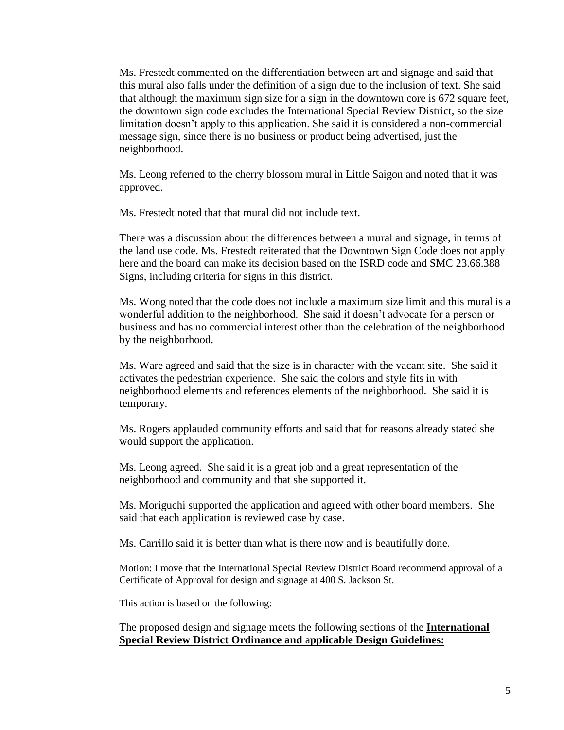Ms. Frestedt commented on the differentiation between art and signage and said that this mural also falls under the definition of a sign due to the inclusion of text. She said that although the maximum sign size for a sign in the downtown core is 672 square feet, the downtown sign code excludes the International Special Review District, so the size limitation doesn't apply to this application. She said it is considered a non-commercial message sign, since there is no business or product being advertised, just the neighborhood.

Ms. Leong referred to the cherry blossom mural in Little Saigon and noted that it was approved.

Ms. Frestedt noted that that mural did not include text.

There was a discussion about the differences between a mural and signage, in terms of the land use code. Ms. Frestedt reiterated that the Downtown Sign Code does not apply here and the board can make its decision based on the ISRD code and SMC 23.66.388 – Signs, including criteria for signs in this district.

Ms. Wong noted that the code does not include a maximum size limit and this mural is a wonderful addition to the neighborhood. She said it doesn't advocate for a person or business and has no commercial interest other than the celebration of the neighborhood by the neighborhood.

Ms. Ware agreed and said that the size is in character with the vacant site. She said it activates the pedestrian experience. She said the colors and style fits in with neighborhood elements and references elements of the neighborhood. She said it is temporary.

Ms. Rogers applauded community efforts and said that for reasons already stated she would support the application.

Ms. Leong agreed. She said it is a great job and a great representation of the neighborhood and community and that she supported it.

Ms. Moriguchi supported the application and agreed with other board members. She said that each application is reviewed case by case.

Ms. Carrillo said it is better than what is there now and is beautifully done.

Motion: I move that the International Special Review District Board recommend approval of a Certificate of Approval for design and signage at 400 S. Jackson St.

This action is based on the following:

The proposed design and signage meets the following sections of the **International Special Review District Ordinance and** a**pplicable Design Guidelines:**